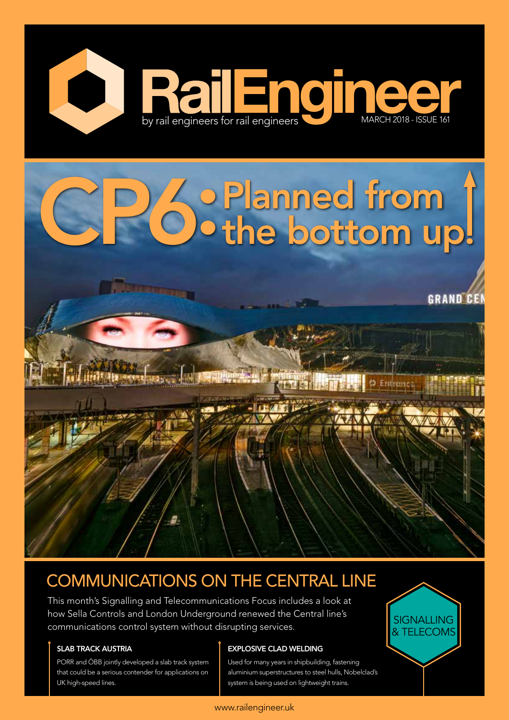

# **Planned from 1**<br>Othe bottom up!

**GRAND CEN** 

# COMMUNICATIONS ON THE CENTRAL LINE

This month's Signalling and Telecommunications Focus includes a look at how Sella Controls and London Underground renewed the Central line's riow sena controls and condom onderground renewed the central lines<br>communications control system without disrupting services.

a masara

# SLAB TRACK AUSTRIA

PORR and ÖBB jointly developed a slab track system that could be a serious contender for applications on UK high-speed lines.

# EXPLOSIVE CLAD WELDING

Used for many years in shipbuilding, fastening aluminium superstructures to steel hulls, Nobelclad's system is being used on lightweight trains.



# www.railengineer.uk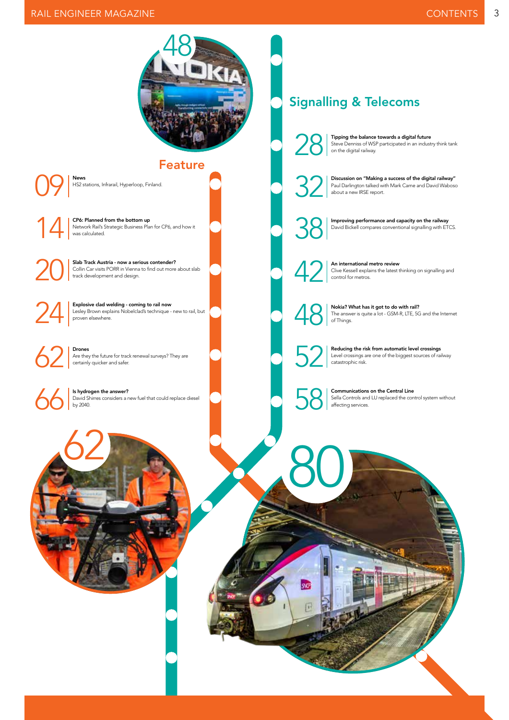# RAIL ENGINEER MAGAZINE



Feature

 $\left|\bigcirc\right>$   $\right|$  News

24

HS2 stations, Infrarail, Hyperloop, Finland.

**14 CP6: Planned from the bottom up**<br>
Network Rail's Strategic Business Planned CP<br>
Was calculated. Network Rail's Strategic Business Plan for CP6, and how it was calculated.

Slab Track Austria - now a serious contender?<br>Collin Car visits PORR in Vienna to find out more<br>track development and design. Collin Car visits PORR in Vienna to find out more about slab track development and design.

> Explosive clad welding - coming to rail now Lesley Brown explains Nobelclad's technique - new to rail, but proven elsewhere.

 $62$   $\sum_{\text{certain!}}$ Are they the future for track renewal surveys? They are certainly quicker and safer.

Is hydrogen the answer?<br>David Shirres considers a report by 2040. David Shirres considers a new fuel that could replace diesel by 2040.

# Signalling & Telecoms

Tipping the balance towards a digital future<br>Steve Denniss of WSP participated in an indus<br>on the digital railway. Steve Denniss of WSP participated in an industry think tank on the digital railway.



**32** Discussion on "Making a success of the digital railway"<br>Paul Darlington talked with Mark Carne and David Wabos<br>about a new IRSE report. Paul Darlington talked with Mark Carne and David Waboso about a new IRSE report.



**388** Improving performance and capacity on the railway<br>David Bickell compares conventional signalling with ET David Bickell compares conventional signalling with ETCS.

An international metro review<br>Clive Kessell explains the latest<br>control for metros. Clive Kessell explains the latest thinking on signalling and control for metros.



80

sa

Nokia? What has it got to do with rail?<br>The answer is quite a lot - GSM-R, LTE, 50<br>of Things. The answer is quite a lot - GSM-R, LTE, 5G and the Internet of Things.

For Reducing the risk from automatic level crossings<br>Level crossings are one of the biggest sources of radiation catastrophic risk. Level crossings are one of the biggest sources of railway catastrophic risk.

**58** Communications on the Central Line<br>Sella Controls and LU replaced the cor<br>affecting services. Sella Controls and LU replaced the control system without affecting services.

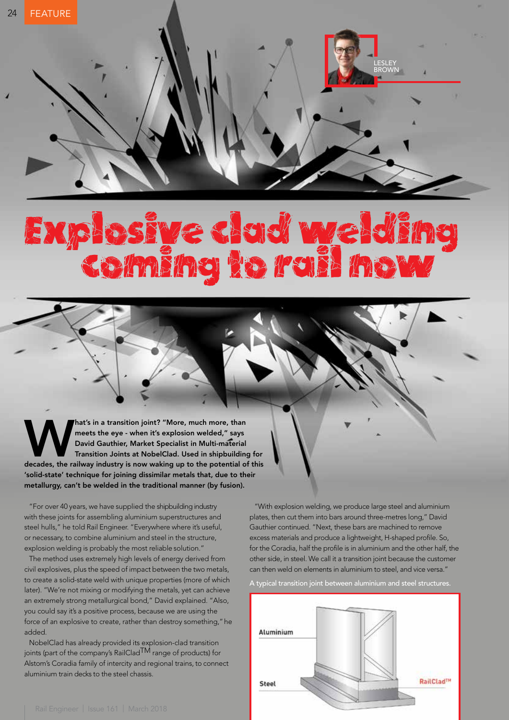# Explosive clad welding coming to rail now

Mat's in a transition joint? "More, much more, than meets the eye - when it's explosion welded," says<br>David Gauthier, Market Specialist in Multi-material<br>Transition Joints at NobelClad. Used in shipbuilding for<br>decades, th meets the eye - when it's explosion welded," says David Gauthier, Market Specialist in Multi-material Transition Joints at NobelClad. Used in shipbuilding for 'solid-state' technique for joining dissimilar metals that, due to their metallurgy, can't be welded in the traditional manner (by fusion).

"For over 40 years, we have supplied the shipbuilding industry with these joints for assembling aluminium superstructures and steel hulls," he told Rail Engineer. "Everywhere where it's useful, or necessary, to combine aluminium and steel in the structure, explosion welding is probably the most reliable solution."

The method uses extremely high levels of energy derived from civil explosives, plus the speed of impact between the two metals, to create a solid-state weld with unique properties (more of which later). "We're not mixing or modifying the metals, yet can achieve an extremely strong metallurgical bond," David explained. "Also, you could say it's a positive process, because we are using the force of an explosive to create, rather than destroy something," he added.

NobelClad has already provided its explosion-clad transition joints (part of the company's RailClad<sup>TM</sup> range of products) for Alstom's Coradia family of intercity and regional trains, to connect aluminium train decks to the steel chassis.

"With explosion welding, we produce large steel and aluminium plates, then cut them into bars around three-metres long," David Gauthier continued. "Next, these bars are machined to remove excess materials and produce a lightweight, H-shaped profile. So, for the Coradia, half the profile is in aluminium and the other half, the other side, in steel. We call it a transition joint because the customer can then weld on elements in aluminium to steel, and vice versa."

LESLEY BROWN

A typical transition joint between aluminium and steel structures.

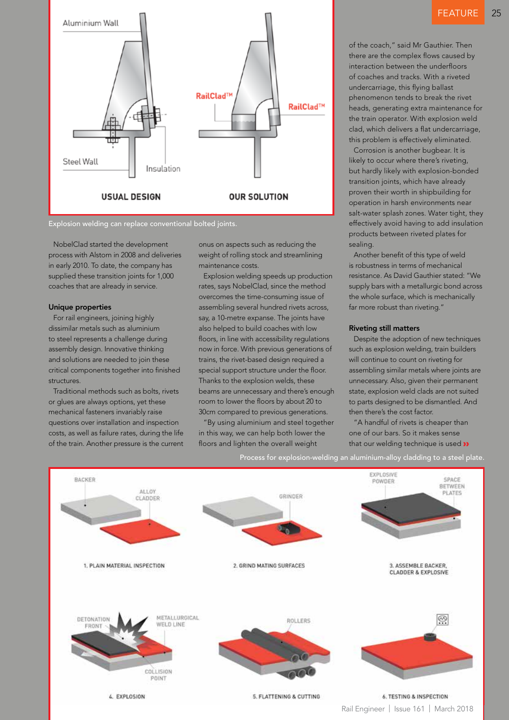

Explosion welding can replace conventional bolted joints.

NobelClad started the development process with Alstom in 2008 and deliveries in early 2010. To date, the company has supplied these transition joints for 1,000 coaches that are already in service.

# Unique properties

For rail engineers, joining highly dissimilar metals such as aluminium to steel represents a challenge during assembly design. Innovative thinking and solutions are needed to join these critical components together into finished structures.

Traditional methods such as bolts, rivets or glues are always options, yet these mechanical fasteners invariably raise questions over installation and inspection costs, as well as failure rates, during the life of the train. Another pressure is the current onus on aspects such as reducing the weight of rolling stock and streamlining maintenance costs.

Explosion welding speeds up production rates, says NobelClad, since the method overcomes the time-consuming issue of assembling several hundred rivets across, say, a 10-metre expanse. The joints have also helped to build coaches with low floors, in line with accessibility regulations now in force. With previous generations of trains, the rivet-based design required a special support structure under the floor. Thanks to the explosion welds, these beams are unnecessary and there's enough room to lower the floors by about 20 to 30cm compared to previous generations.

"By using aluminium and steel together in this way, we can help both lower the floors and lighten the overall weight

of the coach," said Mr Gauthier. Then there are the complex flows caused by interaction between the underfloors of coaches and tracks. With a riveted undercarriage, this flying ballast phenomenon tends to break the rivet heads, generating extra maintenance for the train operator. With explosion weld clad, which delivers a flat undercarriage, this problem is effectively eliminated.

Corrosion is another bugbear. It is likely to occur where there's riveting, but hardly likely with explosion-bonded transition joints, which have already proven their worth in shipbuilding for operation in harsh environments near salt-water splash zones. Water tight, they effectively avoid having to add insulation products between riveted plates for sealing.

Another benefit of this type of weld is robustness in terms of mechanical resistance. As David Gauthier stated: "We supply bars with a metallurgic bond across the whole surface, which is mechanically far more robust than riveting."

## Riveting still matters

Despite the adoption of new techniques such as explosion welding, train builders will continue to count on riveting for assembling similar metals where joints are unnecessary. Also, given their permanent state, explosion weld clads are not suited to parts designed to be dismantled. And then there's the cost factor.

"A handful of rivets is cheaper than one of our bars. So it makes sense that our welding technique is used >>

Process for explosion-welding an aluminium-alloy cladding to a steel plate.

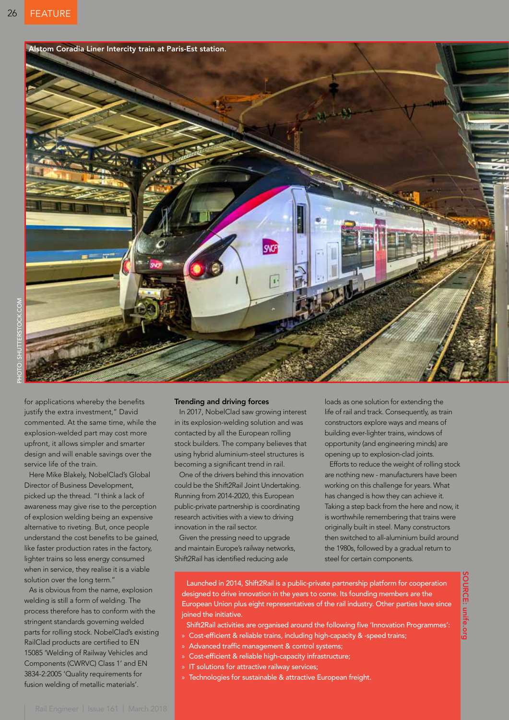

for applications whereby the benefits justify the extra investment," David commented. At the same time, while the explosion-welded part may cost more upfront, it allows simpler and smarter design and will enable savings over the service life of the train.

Here Mike Blakely, NobelClad's Global Director of Business Development, picked up the thread. "I think a lack of awareness may give rise to the perception of explosion welding being an expensive alternative to riveting. But, once people understand the cost benefits to be gained, like faster production rates in the factory, lighter trains so less energy consumed when in service, they realise it is a viable solution over the long term."

As is obvious from the name, explosion welding is still a form of welding. The process therefore has to conform with the stringent standards governing welded parts for rolling stock. NobelClad's existing RailClad products are certified to EN 15085 'Welding of Railway Vehicles and Components (CWRVC) Class 1' and EN 3834-2:2005 'Quality requirements for fusion welding of metallic materials'.

### Trending and driving forces

In 2017, NobelClad saw growing interest in its explosion-welding solution and was contacted by all the European rolling stock builders. The company believes that using hybrid aluminium-steel structures is becoming a significant trend in rail.

One of the drivers behind this innovation could be the Shift2Rail Joint Undertaking. Running from 2014-2020, this European public-private partnership is coordinating research activities with a view to driving innovation in the rail sector.

Given the pressing need to upgrade and maintain Europe's railway networks, Shift2Rail has identified reducing axle

loads as one solution for extending the life of rail and track. Consequently, as train constructors explore ways and means of building ever-lighter trains, windows of opportunity (and engineering minds) are opening up to explosion-clad joints.

Efforts to reduce the weight of rolling stock are nothing new - manufacturers have been working on this challenge for years. What has changed is how they can achieve it. Taking a step back from the here and now, it is worthwhile remembering that trains were originally built in steel. Many constructors then switched to all-aluminium build around the 1980s, followed by a gradual return to steel for certain components.

SOURCE: unife.org

**OURCE: unite.org** 

Launched in 2014, Shift2Rail is a public-private partnership platform for cooperation designed to drive innovation in the years to come. Its founding members are the European Union plus eight representatives of the rail industry. Other parties have since ioined the initiative.

Shift2Rail activities are organised around the following five 'Innovation Programmes':

- » Cost-efficient & reliable trains, including high-capacity & -speed trains;
- » Advanced traffic management & control systems;
- » Cost-efficient & reliable high-capacity infrastructure;
- » IT solutions for attractive railway services;
- » Technologies for sustainable & attractive European freight.